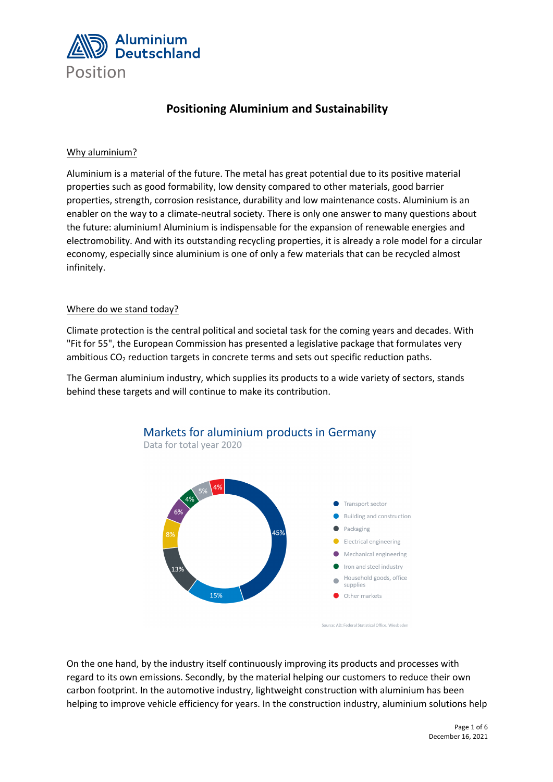

## **Positioning Aluminium and Sustainability**

### Why aluminium?

Aluminium is a material of the future. The metal has great potential due to its positive material properties such as good formability, low density compared to other materials, good barrier properties, strength, corrosion resistance, durability and low maintenance costs. Aluminium is an enabler on the way to a climate-neutral society. There is only one answer to many questions about the future: aluminium! Aluminium is indispensable for the expansion of renewable energies and electromobility. And with its outstanding recycling properties, it is already a role model for a circular economy, especially since aluminium is one of only a few materials that can be recycled almost infinitely.

#### Where do we stand today?

Climate protection is the central political and societal task for the coming years and decades. With "Fit for 55", the European Commission has presented a legislative package that formulates very ambitious CO<sub>2</sub> reduction targets in concrete terms and sets out specific reduction paths.

The German aluminium industry, which supplies its products to a wide variety of sectors, stands behind these targets and will continue to make its contribution.





Source: AD: Federal Statistical Office, Wiesbaden

On the one hand, by the industry itself continuously improving its products and processes with regard to its own emissions. Secondly, by the material helping our customers to reduce their own carbon footprint. In the automotive industry, lightweight construction with aluminium has been helping to improve vehicle efficiency for years. In the construction industry, aluminium solutions help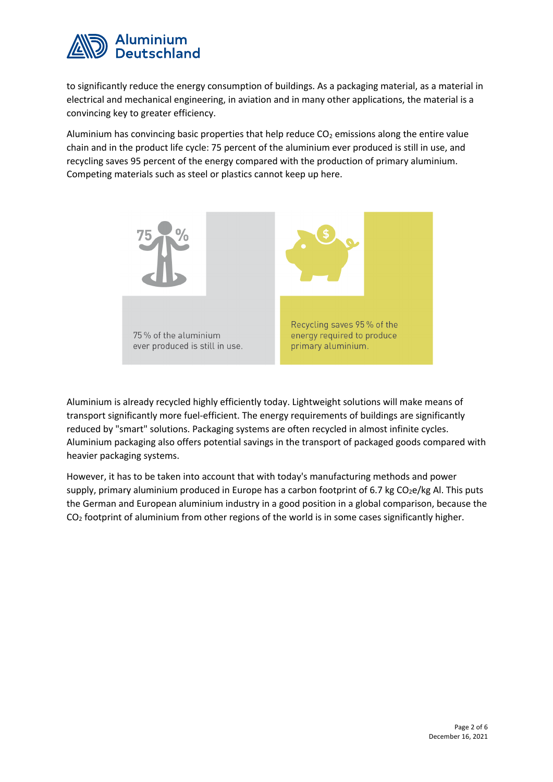

to significantly reduce the energy consumption of buildings. As a packaging material, as a material in electrical and mechanical engineering, in aviation and in many other applications, the material is a convincing key to greater efficiency.

Aluminium has convincing basic properties that help reduce  $CO<sub>2</sub>$  emissions along the entire value chain and in the product life cycle: 75 percent of the aluminium ever produced is still in use, and recycling saves 95 percent of the energy compared with the production of primary aluminium. Competing materials such as steel or plastics cannot keep up here.



Aluminium is already recycled highly efficiently today. Lightweight solutions will make means of transport significantly more fuel-efficient. The energy requirements of buildings are significantly reduced by "smart" solutions. Packaging systems are often recycled in almost infinite cycles. Aluminium packaging also offers potential savings in the transport of packaged goods compared with heavier packaging systems.

However, it has to be taken into account that with today's manufacturing methods and power supply, primary aluminium produced in Europe has a carbon footprint of 6.7 kg  $CO<sub>2</sub>e/kg$  Al. This puts the German and European aluminium industry in a good position in a global comparison, because the  $CO<sub>2</sub>$  footprint of aluminium from other regions of the world is in some cases significantly higher.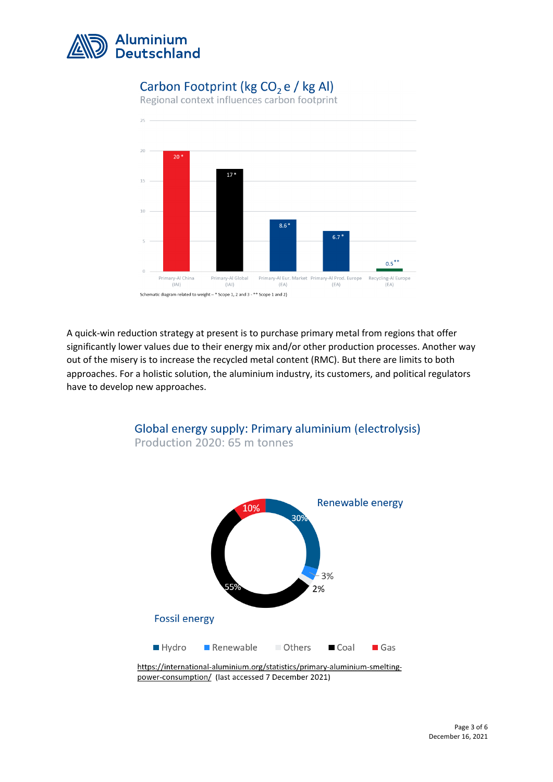

# Carbon Footprint (kg CO<sub>2</sub> e / kg Al)

Regional context influences carbon footprint



A quick-win reduction strategy at present is to purchase primary metal from regions that offer significantly lower values due to their energy mix and/or other production processes. Another way out of the misery is to increase the recycled metal content (RMC). But there are limits to both approaches. For a holistic solution, the aluminium industry, its customers, and political regulators have to develop new approaches.



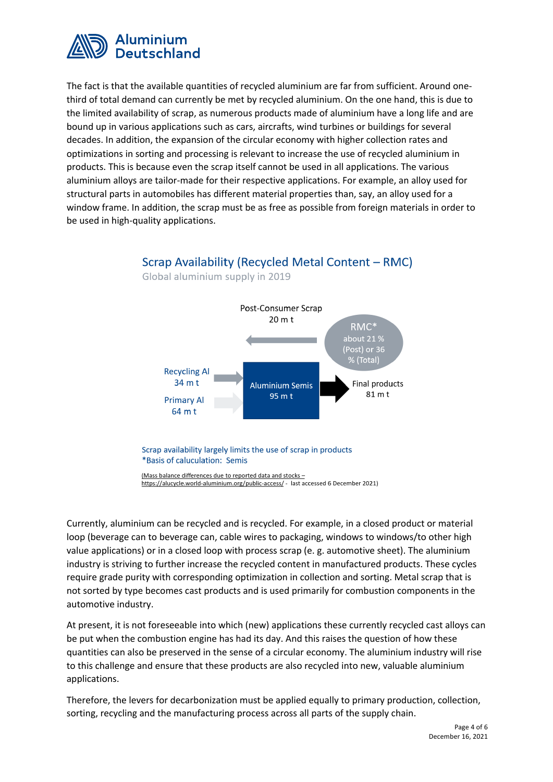

The fact is that the available quantities of recycled aluminium are far from sufficient. Around onethird of total demand can currently be met by recycled aluminium. On the one hand, this is due to the limited availability of scrap, as numerous products made of aluminium have a long life and are bound up in various applications such as cars, aircrafts, wind turbines or buildings for several decades. In addition, the expansion of the circular economy with higher collection rates and optimizations in sorting and processing is relevant to increase the use of recycled aluminium in products. This is because even the scrap itself cannot be used in all applications. The various aluminium alloys are tailor-made for their respective applications. For example, an alloy used for structural parts in automobiles has different material properties than, say, an alloy used for a window frame. In addition, the scrap must be as free as possible from foreign materials in order to be used in high-quality applications.

#### Global aluminium supply in 2019 **Post-Consumer Scrap** 20 m t  $RMC*$ about 21  $\%$ (Post) or 36 6 (Total) **Recycling Al** 34 m t **Final products Aluminium Semis** 81 m t 95 m t **Primary Al** 64 m t Scrap availability largely limits the use of scrap in products \*Basis of caluculation: Semis

Scrap Availability (Recycled Metal Content - RMC)

(Mass balance differences due to reported data and stocks https://alucycle.world-aluminium.org/public-access/ - last accessed 6 December 2021)

Currently, aluminium can be recycled and is recycled. For example, in a closed product or material loop (beverage can to beverage can, cable wires to packaging, windows to windows/to other high value applications) or in a closed loop with process scrap (e. g. automotive sheet). The aluminium industry is striving to further increase the recycled content in manufactured products. These cycles require grade purity with corresponding optimization in collection and sorting. Metal scrap that is not sorted by type becomes cast products and is used primarily for combustion components in the automotive industry.

At present, it is not foreseeable into which (new) applications these currently recycled cast alloys can be put when the combustion engine has had its day. And this raises the question of how these quantities can also be preserved in the sense of a circular economy. The aluminium industry will rise to this challenge and ensure that these products are also recycled into new, valuable aluminium applications.

Therefore, the levers for decarbonization must be applied equally to primary production, collection, sorting, recycling and the manufacturing process across all parts of the supply chain.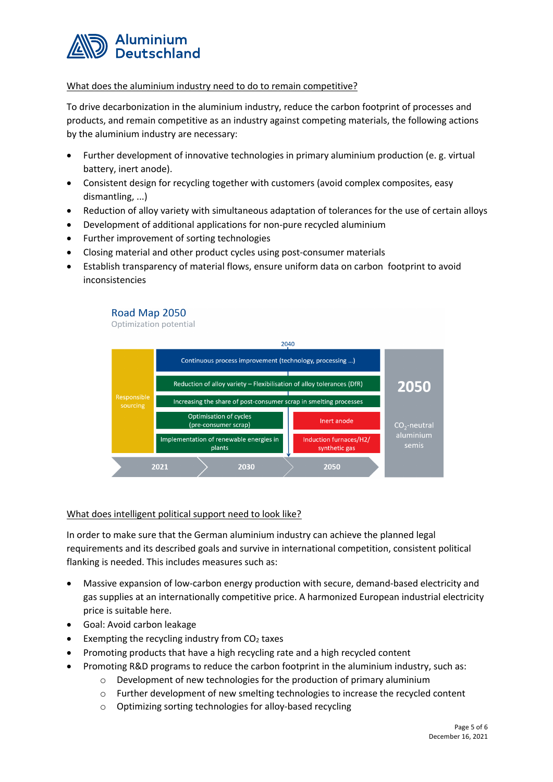

### What does the aluminium industry need to do to remain competitive?

To drive decarbonization in the aluminium industry, reduce the carbon footprint of processes and products, and remain competitive as an industry against competing materials, the following actions by the aluminium industry are necessary:

- Further development of innovative technologies in primary aluminium production (e. g. virtual battery, inert anode).
- Consistent design for recycling together with customers (avoid complex composites, easy dismantling, ...)
- Reduction of alloy variety with simultaneous adaptation of tolerances for the use of certain alloys
- Development of additional applications for non-pure recycled aluminium
- Further improvement of sorting technologies
- Closing material and other product cycles using post-consumer materials
- Establish transparency of material flows, ensure uniform data on carbon footprint to avoid inconsistencies

#### Road Map 2050

Optimization potential



#### What does intelligent political support need to look like?

In order to make sure that the German aluminium industry can achieve the planned legal requirements and its described goals and survive in international competition, consistent political flanking is needed. This includes measures such as:

- Massive expansion of low-carbon energy production with secure, demand-based electricity and gas supplies at an internationally competitive price. A harmonized European industrial electricity price is suitable here.
- Goal: Avoid carbon leakage
- Exempting the recycling industry from  $CO<sub>2</sub>$  taxes
- Promoting products that have a high recycling rate and a high recycled content
	- Promoting R&D programs to reduce the carbon footprint in the aluminium industry, such as:
		- o Development of new technologies for the production of primary aluminium
		- o Further development of new smelting technologies to increase the recycled content
		- o Optimizing sorting technologies for alloy-based recycling